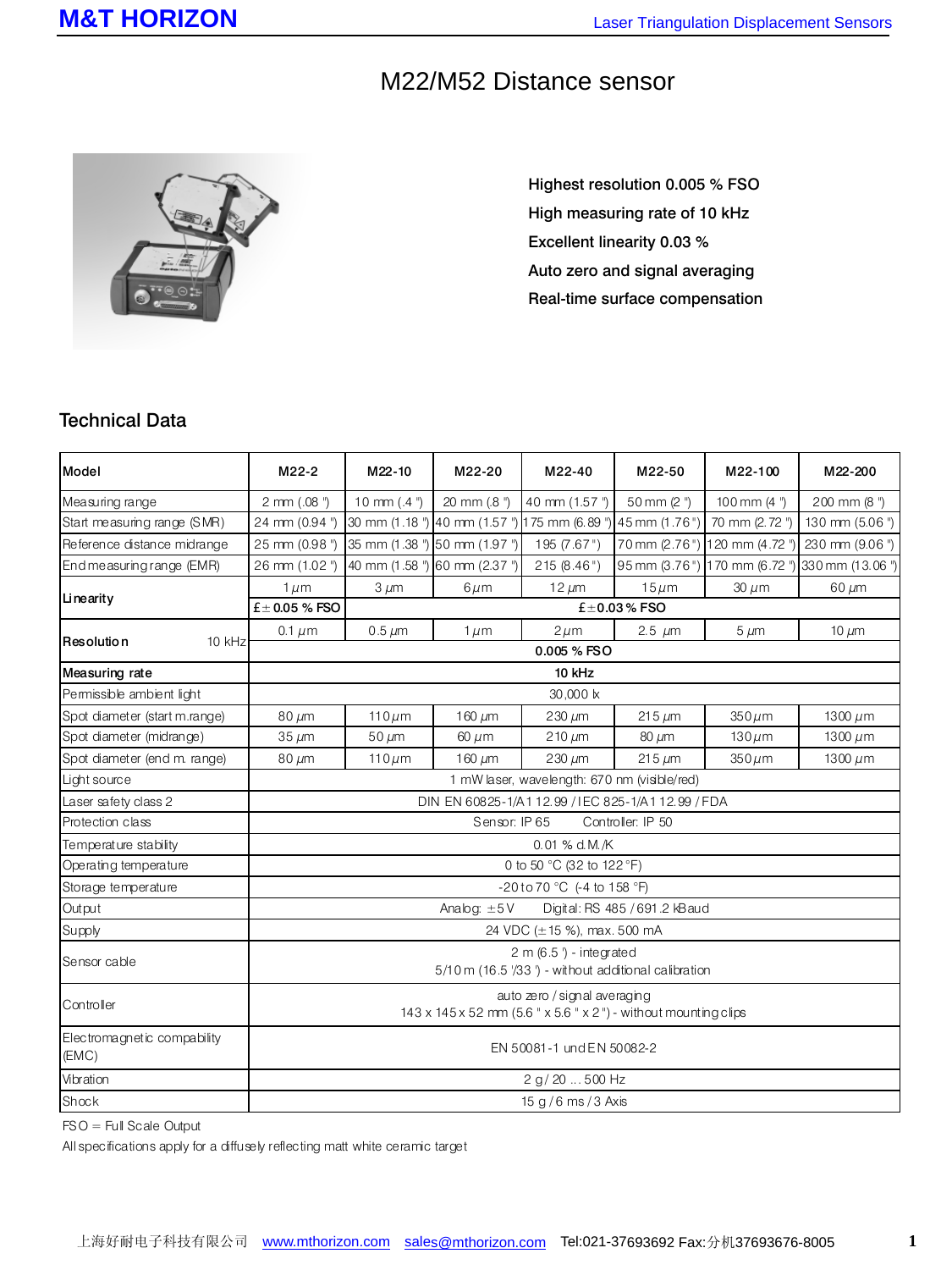## M22/M52 Distance sensor



Highest resolution 0.005 % FSO High measuring rate of 10 kHz Excellent linearity 0.03 % Auto zero and signal averaging Real-time surface compensation

## Technical Data

| Model                                | M22-2                                                                                           | M22-10                        | M22-20       | M22-40                                             | M22-50        | M22-100                      | M22-200          |  |  |  |
|--------------------------------------|-------------------------------------------------------------------------------------------------|-------------------------------|--------------|----------------------------------------------------|---------------|------------------------------|------------------|--|--|--|
| Measuring range                      | 2 mm (.08 ")                                                                                    | 10 mm $(.4")$                 | 20 mm (.8 ") | 40 mm (1.57")                                      | 50 mm (2")    | 100 mm $(4")$                | 200 mm (8")      |  |  |  |
| Start measuring range (SMR)          | 24 mm (0.94 ")                                                                                  |                               |              | 30 mm (1.18 ") 40 mm (1.57 ") 175 mm (6.89 ")      | 45 mm (1.76") | 70 mm (2.72 ")               | 130 mm (5.06 ")  |  |  |  |
| Reference distance midrange          | 25 mm (0.98 ")                                                                                  | 35 mm (1.38 ") 50 mm (1.97 ") |              | 195(7.67")                                         | 70 mm (2.76") | 120 mm (4.72 ")              | 230 mm (9.06 ")  |  |  |  |
| End measuring range (EMR)            | 26 mm (1.02 ")                                                                                  | 40 mm (1.58 ") 60 mm (2.37 ") |              | 215(8.46")                                         |               | 95 mm (3.76") 170 mm (6.72") | 330 mm (13.06 ") |  |  |  |
| Linearity                            | $1 \mu m$                                                                                       | $3 \mu m$                     | $6 \mu m$    | $12 \mu m$                                         | $15 \mu m$    | $30 \mu m$                   | $60 \mu m$       |  |  |  |
|                                      | $\pm$ 0.05 % FSO<br>$\pm$ 0.03% FSO                                                             |                               |              |                                                    |               |                              |                  |  |  |  |
| 10 kHz<br>Resolution                 | $0.1 \mu m$                                                                                     | $0.5 \mu m$                   | $1 \mu m$    | $2 \mu m$                                          | 2.5 $\mu$ m   | $5 \mu m$                    | 10 $\mu$ m       |  |  |  |
|                                      | 0.005 % FSO                                                                                     |                               |              |                                                    |               |                              |                  |  |  |  |
| Measuring rate                       |                                                                                                 |                               |              | 10 kHz                                             |               |                              |                  |  |  |  |
| Permissible ambient light            |                                                                                                 | 30,000 k                      |              |                                                    |               |                              |                  |  |  |  |
| Spot diameter (start m.range)        | $80 \mu m$                                                                                      | $110 \mu m$                   | 160 $\mu$ m  | $230 \mu m$                                        | $215 \mu m$   | $350 \mu m$                  | 1300 $\mu$ m     |  |  |  |
| Spot diameter (midrange)             | $35 \mu m$                                                                                      | $50 \mu m$                    | $60 \mu m$   | $210 \mu m$                                        | $80 \mu m$    | $130 \mu m$                  | 1300 $\mu$ m     |  |  |  |
| Spot diameter (end m. range)         | $80 \mu m$                                                                                      | $110 \mu m$                   | 160 $\mu$ m  | $230 \mu m$                                        | $215 \mu m$   | $350 \mu m$                  | 1300 $\mu$ m     |  |  |  |
| Light source                         |                                                                                                 |                               |              | 1 mW laser, wavelength: 670 nm (visible/red)       |               |                              |                  |  |  |  |
| Laser safety class 2                 |                                                                                                 |                               |              | DIN EN 60825-1/A1 12.99 / IEC 825-1/A1 12.99 / FDA |               |                              |                  |  |  |  |
| Protection class                     | Controller: IP 50<br>Sensor: IP 65                                                              |                               |              |                                                    |               |                              |                  |  |  |  |
| Temperature stability                |                                                                                                 | $0.01$ % d.M./K               |              |                                                    |               |                              |                  |  |  |  |
| Operating temperature                |                                                                                                 | 0 to 50 °C (32 to 122 °F)     |              |                                                    |               |                              |                  |  |  |  |
| Storage temperature                  | -20 to 70 °C (-4 to 158 °F)                                                                     |                               |              |                                                    |               |                              |                  |  |  |  |
| Output                               | Analog: $\pm 5V$<br>Digital: RS 485 / 691.2 kBaud                                               |                               |              |                                                    |               |                              |                  |  |  |  |
| Supply                               | 24 VDC (±15 %), max. 500 mA                                                                     |                               |              |                                                    |               |                              |                  |  |  |  |
| Sensor cable                         | $2 m (6.5') - integral$<br>5/10 m (16.5 '/33 ') - without additional calibration                |                               |              |                                                    |               |                              |                  |  |  |  |
| Controller                           | auto zero / signal averaging<br>143 x 145 x 52 mm (5.6 " x 5.6 " x 2") - without mounting clips |                               |              |                                                    |               |                              |                  |  |  |  |
| Electromagnetic compability<br>(EMC) | EN 50081-1 und EN 50082-2                                                                       |                               |              |                                                    |               |                              |                  |  |  |  |
| Vibration                            | 2 q / 20  500 Hz                                                                                |                               |              |                                                    |               |                              |                  |  |  |  |
| Shock                                | 15 g / 6 ms / 3 Axis                                                                            |                               |              |                                                    |               |                              |                  |  |  |  |

FSO = Full Scale Output

All specifications apply for a diffusely reflecting matt white ceramic target